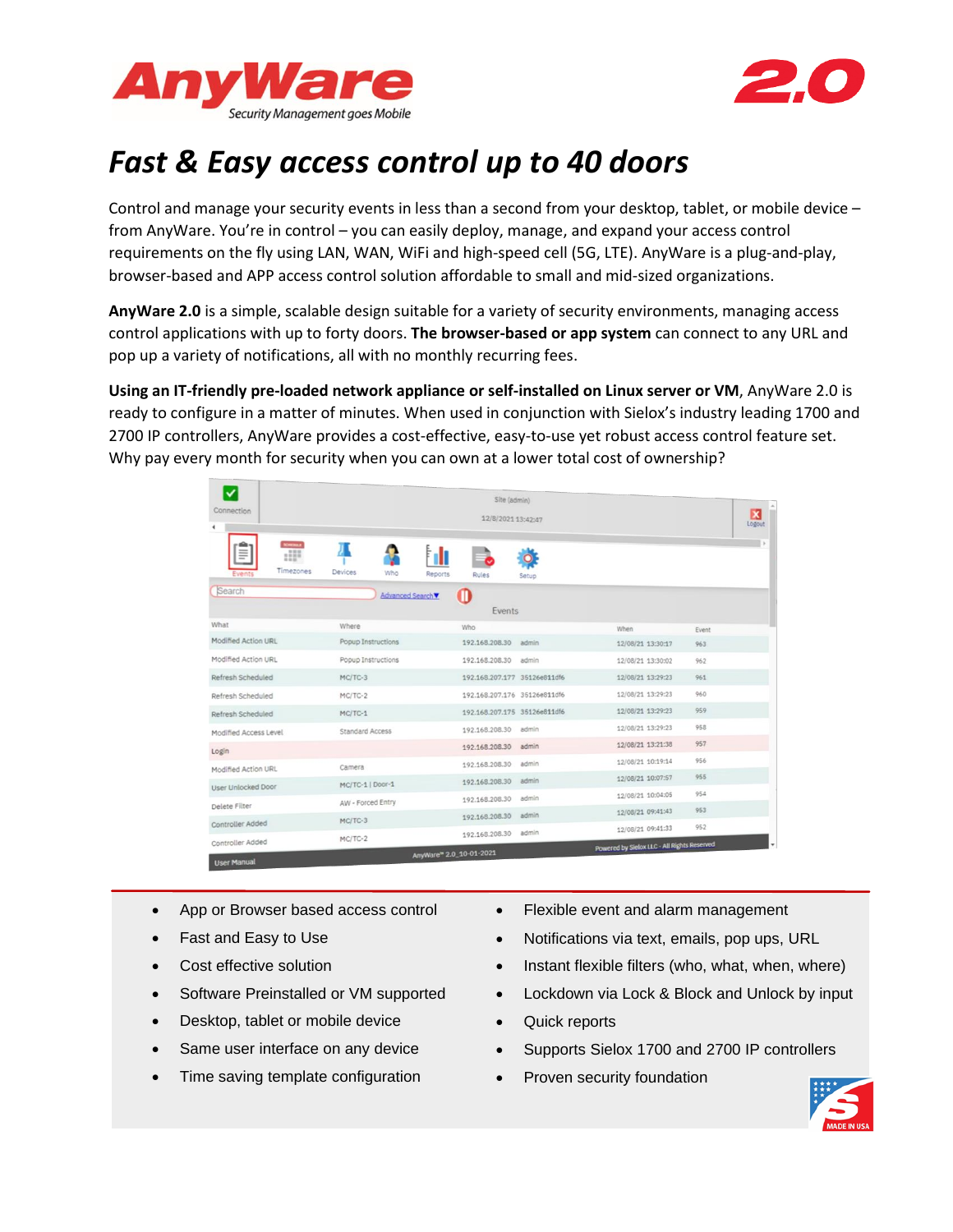



# *Fast & Easy access control up to 40 doors*

Control and manage your security events in less than a second from your desktop, tablet, or mobile device – from AnyWare. You're in control – you can easily deploy, manage, and expand your access control requirements on the fly using LAN, WAN, WiFi and high-speed cell (5G, LTE). AnyWare is a plug-and-play, browser-based and APP access control solution affordable to small and mid-sized organizations.

**AnyWare 2.0** is a simple, scalable design suitable for a variety of security environments, managing access control applications with up to forty doors. **The browser-based or app system** can connect to any URL and pop up a variety of notifications, all with no monthly recurring fees.

**Using an IT-friendly pre-loaded network appliance or self-installed on Linux server or VM**, AnyWare 2.0 is ready to configure in a matter of minutes. When used in conjunction with Sielox's industry leading 1700 and 2700 IP controllers, AnyWare provides a cost-effective, easy-to-use yet robust access control feature set. Why pay every month for security when you can own at a lower total cost of ownership?

| ✓<br>Connection       | Site (admin)<br>12/8/2021 13:42:47 |                         |                              |       | $\overline{\mathbf{x}}$<br>Logout           |       |  |
|-----------------------|------------------------------------|-------------------------|------------------------------|-------|---------------------------------------------|-------|--|
| m<br>Timezones        | Devices<br>Who                     | Reports                 | Rules                        | Setup |                                             |       |  |
| Search                | Advanced Search▼                   |                         | O<br>Events                  |       |                                             |       |  |
| What                  | Where                              |                         | Who                          |       | When                                        | Event |  |
| Modified Action URL   | Popup Instructions                 |                         | 192.168.208.30               | admin | 12/08/21 13:30:17                           | 963   |  |
| Modified Action URL   | Popup Instructions                 |                         | 192.168.208.30               | admin | 12/08/21 13:30:02                           | 962   |  |
| Refresh Scheduled     | MC/TC-3                            |                         | 192.168.207.177 35126e811df6 |       | 12/08/21 13:29:23                           | 961   |  |
| Refresh Scheduled     | MC/TC-2                            |                         | 192.168.207.176 35126e811df6 |       | 12/08/21 13:29:23                           | 960   |  |
| Refresh Scheduled     | $MC/TC-1$                          |                         | 192.168.207.175 35126e811df6 |       | 12/08/21 13:29:23                           | 959   |  |
| Modified Access Level | <b>Standard Access</b>             |                         | 192.168.208.30               | admin | 12/08/21 13:29:23                           | 958   |  |
| Login                 |                                    |                         | 192.168.208.30               | admin | 12/08/21 13:21:38                           | 957   |  |
| Modified Action URL   | Camera                             |                         | 192.168.208.30               | admin | 12/08/21 10:19:14                           | 956   |  |
| User Unlocked Door    | MC/TC-1   Door-1                   |                         | 192.168.208.30               | admin | 12/08/21 10:07:57                           | 955   |  |
|                       | AW - Forced Entry                  |                         | 192.168.208.30               | admin | 12/08/21 10:04:05                           | 954   |  |
| Delete Filter         | $MC/TC-3$                          |                         | 192.168.208.30               | admin | 12/08/21 09:41:43                           | 953   |  |
| Controller Added      |                                    |                         | 192.168.208.30               | admin | 12/08/21 09:41:33                           | 952   |  |
| Controller Added      | $MC/TC-2$                          | AnyWare™ 2.0_10-01-2021 |                              |       | Powered by Sielox LLC - All Rights Reserved |       |  |

- App or Browser based access control
- Fast and Easy to Use
- Cost effective solution
- Software Preinstalled or VM supported
- Desktop, tablet or mobile device
- Same user interface on any device
- Time saving template configuration
- Flexible event and alarm management
- Notifications via text, emails, pop ups, URL
- Instant flexible filters (who, what, when, where)
- Lockdown via Lock & Block and Unlock by input
- Quick reports
- Supports Sielox 1700 and 2700 IP controllers
- Proven security foundation